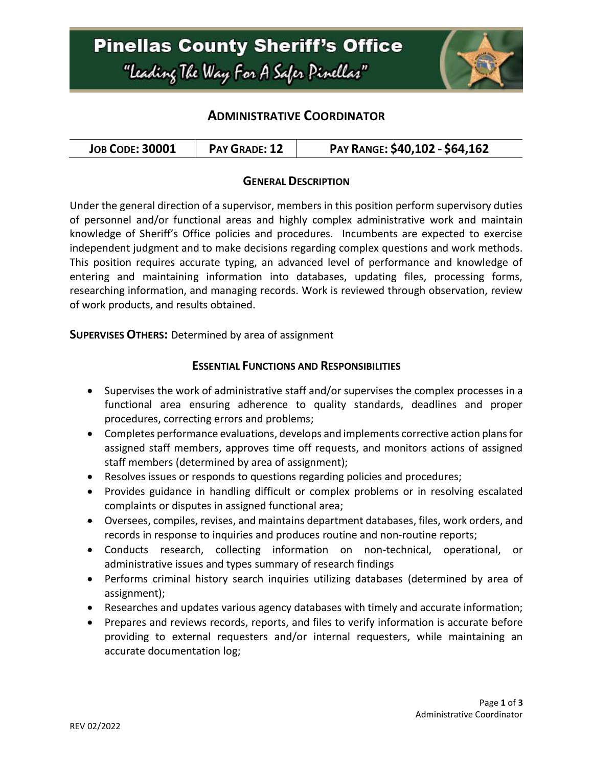## **ADMINISTRATIVE COORDINATOR**

| PAY RANGE: \$40,102 - \$64,162<br><b>JOB CODE: 30001</b><br>PAY GRADE: 12 |  |
|---------------------------------------------------------------------------|--|
|---------------------------------------------------------------------------|--|

#### **GENERAL DESCRIPTION**

Under the general direction of a supervisor, members in this position perform supervisory duties of personnel and/or functional areas and highly complex administrative work and maintain knowledge of Sheriff's Office policies and procedures. Incumbents are expected to exercise independent judgment and to make decisions regarding complex questions and work methods. This position requires accurate typing, an advanced level of performance and knowledge of entering and maintaining information into databases, updating files, processing forms, researching information, and managing records. Work is reviewed through observation, review of work products, and results obtained.

**SUPERVISES OTHERS:** Determined by area of assignment

#### **ESSENTIAL FUNCTIONS AND RESPONSIBILITIES**

- Supervises the work of administrative staff and/or supervises the complex processes in a functional area ensuring adherence to quality standards, deadlines and proper procedures, correcting errors and problems;
- Completes performance evaluations, develops and implements corrective action plans for assigned staff members, approves time off requests, and monitors actions of assigned staff members (determined by area of assignment);
- Resolves issues or responds to questions regarding policies and procedures;
- Provides guidance in handling difficult or complex problems or in resolving escalated complaints or disputes in assigned functional area;
- Oversees, compiles, revises, and maintains department databases, files, work orders, and records in response to inquiries and produces routine and non-routine reports;
- Conducts research, collecting information on non-technical, operational, or administrative issues and types summary of research findings
- Performs criminal history search inquiries utilizing databases (determined by area of assignment);
- Researches and updates various agency databases with timely and accurate information;
- Prepares and reviews records, reports, and files to verify information is accurate before providing to external requesters and/or internal requesters, while maintaining an accurate documentation log;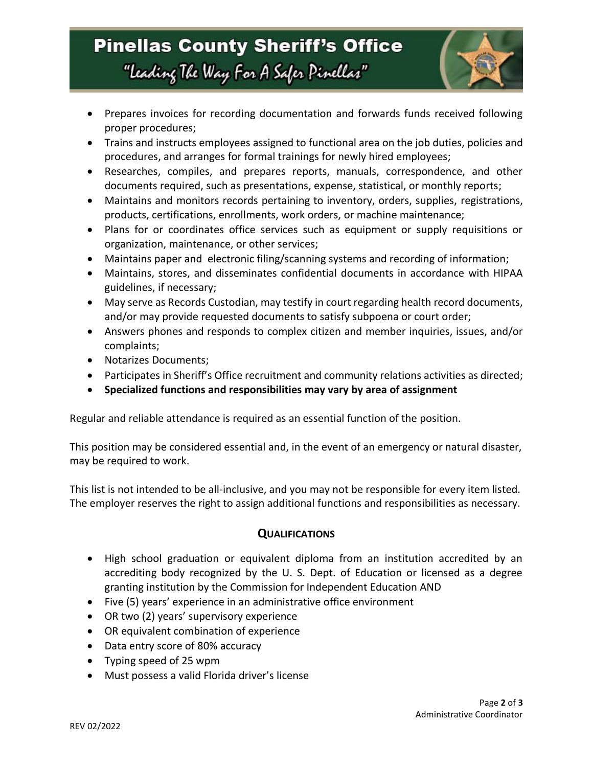# **Pinellas County Sheriff's Office** "Leading The Way For A Safer Pinellar"



- Prepares invoices for recording documentation and forwards funds received following proper procedures;
- Trains and instructs employees assigned to functional area on the job duties, policies and procedures, and arranges for formal trainings for newly hired employees;
- Researches, compiles, and prepares reports, manuals, correspondence, and other documents required, such as presentations, expense, statistical, or monthly reports;
- Maintains and monitors records pertaining to inventory, orders, supplies, registrations, products, certifications, enrollments, work orders, or machine maintenance;
- Plans for or coordinates office services such as equipment or supply requisitions or organization, maintenance, or other services;
- Maintains paper and electronic filing/scanning systems and recording of information;
- Maintains, stores, and disseminates confidential documents in accordance with HIPAA guidelines, if necessary;
- May serve as Records Custodian, may testify in court regarding health record documents, and/or may provide requested documents to satisfy subpoena or court order;
- Answers phones and responds to complex citizen and member inquiries, issues, and/or complaints;
- Notarizes Documents;
- Participates in Sheriff's Office recruitment and community relations activities as directed;
- **Specialized functions and responsibilities may vary by area of assignment**

Regular and reliable attendance is required as an essential function of the position.

This position may be considered essential and, in the event of an emergency or natural disaster, may be required to work.

This list is not intended to be all-inclusive, and you may not be responsible for every item listed. The employer reserves the right to assign additional functions and responsibilities as necessary.

#### **QUALIFICATIONS**

- High school graduation or equivalent diploma from an institution accredited by an accrediting body recognized by the U. S. Dept. of Education or licensed as a degree granting institution by the Commission for Independent Education AND
- Five (5) years' experience in an administrative office environment
- OR two (2) years' supervisory experience
- OR equivalent combination of experience
- Data entry score of 80% accuracy
- Typing speed of 25 wpm
- Must possess a valid Florida driver's license